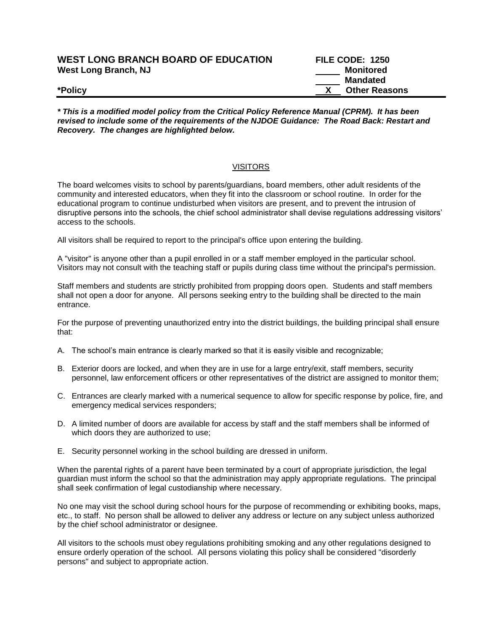| <b>WEST LONG BRANCH BOARD OF EDUCATION</b> | <b>FILE CODE: 1250</b> |
|--------------------------------------------|------------------------|
| West Long Branch, NJ                       | Monitored              |
|                                            | Mandated               |
| *Policy                                    | <b>Other Reasons</b>   |

*\* This is a modified model policy from the Critical Policy Reference Manual (CPRM). It has been revised to include some of the requirements of the NJDOE Guidance: The Road Back: Restart and Recovery. The changes are highlighted below.*

## **VISITORS**

The board welcomes visits to school by parents/guardians, board members, other adult residents of the community and interested educators, when they fit into the classroom or school routine. In order for the educational program to continue undisturbed when visitors are present, and to prevent the intrusion of disruptive persons into the schools, the chief school administrator shall devise regulations addressing visitors' access to the schools.

All visitors shall be required to report to the principal's office upon entering the building.

A "visitor" is anyone other than a pupil enrolled in or a staff member employed in the particular school. Visitors may not consult with the teaching staff or pupils during class time without the principal's permission.

Staff members and students are strictly prohibited from propping doors open. Students and staff members shall not open a door for anyone. All persons seeking entry to the building shall be directed to the main entrance.

For the purpose of preventing unauthorized entry into the district buildings, the building principal shall ensure that:

- A. The school's main entrance is clearly marked so that it is easily visible and recognizable;
- B. Exterior doors are locked, and when they are in use for a large entry/exit, staff members, security personnel, law enforcement officers or other representatives of the district are assigned to monitor them;
- C. Entrances are clearly marked with a numerical sequence to allow for specific response by police, fire, and emergency medical services responders;
- D. A limited number of doors are available for access by staff and the staff members shall be informed of which doors they are authorized to use;
- E. Security personnel working in the school building are dressed in uniform.

When the parental rights of a parent have been terminated by a court of appropriate jurisdiction, the legal guardian must inform the school so that the administration may apply appropriate regulations. The principal shall seek confirmation of legal custodianship where necessary.

No one may visit the school during school hours for the purpose of recommending or exhibiting books, maps, etc., to staff. No person shall be allowed to deliver any address or lecture on any subject unless authorized by the chief school administrator or designee.

All visitors to the schools must obey regulations prohibiting smoking and any other regulations designed to ensure orderly operation of the school. All persons violating this policy shall be considered "disorderly persons" and subject to appropriate action.